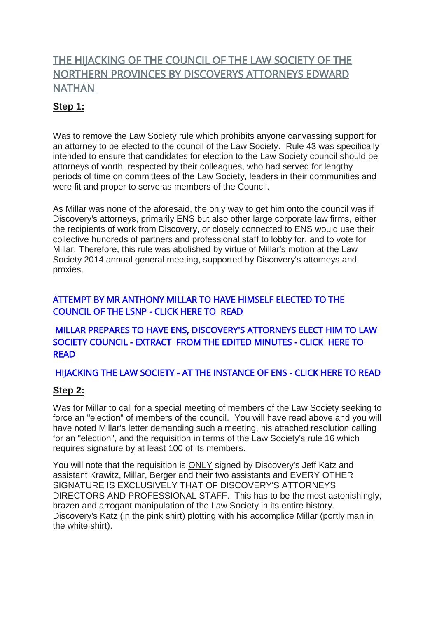# THE HIJACKING OF THE COUNCIL OF THE LAW SOCIETY OF THE NORTHERN PROVINCES BY DISCOVERYS ATTORNEYS EDWARD NATHAN

## **Step 1:**

Was to remove the Law Society rule which prohibits anyone canvassing support for an attorney to be elected to the council of the Law Society. Rule 43 was specifically intended to ensure that candidates for election to the Law Society council should be attorneys of worth, respected by their colleagues, who had served for lengthy periods of time on committees of the Law Society, leaders in their communities and were fit and proper to serve as members of the Council.

As Millar was none of the aforesaid, the only way to get him onto the council was if Discovery's attorneys, primarily ENS but also other large corporate law firms, either the recipients of work from Discovery, or closely connected to ENS would use their collective hundreds of partners and professional staff to lobby for, and to vote for Millar. Therefore, this rule was abolished by virtue of Millar's motion at the Law Society 2014 annual general meeting, supported by Discovery's attorneys and proxies.

### [ATTEMPT BY MR ANTHONY MILLAR TO HAVE HIMSELF ELECTED TO THE](http://www.bobroffronald.com/images/documents/millar-atttempt-for-ellection.JPG)  [COUNCIL OF THE LSNP](http://www.bobroffronald.com/images/documents/millar-atttempt-for-ellection.JPG) - CLICK HERE TO READ

## [MILLAR PREPARES TO HAVE ENS, DISCOVERY'S ATTORNEYS ELECT HIM TO LAW](http://www.bobroffronald.com/images/documents/EXTRACT_OF_THE_EDITED_MINUTES_OF_THE_ANNUAL_GENERAL_MEETING_OF_THE_LAW_SOCIETY_OF_THE_NORTHERN_PROVINCES_HELD_AT_SUN_CITY.pdf)  [SOCIETY COUNCIL - EXTRACT FROM THE EDITED MINUTES - CLICK HERE TO](http://www.bobroffronald.com/images/documents/EXTRACT_OF_THE_EDITED_MINUTES_OF_THE_ANNUAL_GENERAL_MEETING_OF_THE_LAW_SOCIETY_OF_THE_NORTHERN_PROVINCES_HELD_AT_SUN_CITY.pdf)  [READ](http://www.bobroffronald.com/images/documents/EXTRACT_OF_THE_EDITED_MINUTES_OF_THE_ANNUAL_GENERAL_MEETING_OF_THE_LAW_SOCIETY_OF_THE_NORTHERN_PROVINCES_HELD_AT_SUN_CITY.pdf)

#### [HIJACKING THE LAW SOCIETY - AT THE INSTANCE OF ENS - CLICK HERE TO READ](http://www.bobroffronald.com/images/documents/requisition-signed-by-ENS.pdf)

## **Step 2:**

Was for Millar to call for a special meeting of members of the Law Society seeking to force an "election" of members of the council. You will have read above and you will have noted Millar's letter demanding such a meeting, his attached resolution calling for an "election", and the requisition in terms of the Law Society's rule 16 which requires signature by at least 100 of its members.

You will note that the requisition is **ONLY** signed by Discovery's Jeff Katz and assistant Krawitz, Millar, Berger and their two assistants and EVERY OTHER SIGNATURE IS EXCLUSIVELY THAT OF DISCOVERY'S ATTORNEYS DIRECTORS AND PROFESSIONAL STAFF. This has to be the most astonishingly, brazen and arrogant manipulation of the Law Society in its entire history. Discovery's Katz (in the pink shirt) plotting with his accomplice Millar (portly man in the white shirt).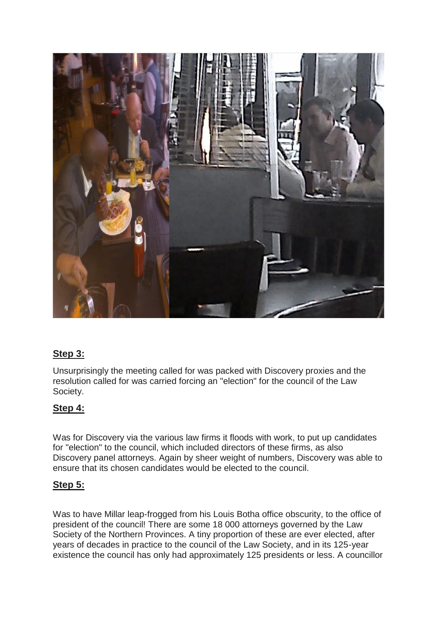

## **Step 3:**

Unsurprisingly the meeting called for was packed with Discovery proxies and the resolution called for was carried forcing an "election" for the council of the Law Society.

#### **Step 4:**

Was for Discovery via the various law firms it floods with work, to put up candidates for "election" to the council, which included directors of these firms, as also Discovery panel attorneys. Again by sheer weight of numbers, Discovery was able to ensure that its chosen candidates would be elected to the council.

## **Step 5:**

Was to have Millar leap-frogged from his Louis Botha office obscurity, to the office of president of the council! There are some 18 000 attorneys governed by the Law Society of the Northern Provinces. A tiny proportion of these are ever elected, after years of decades in practice to the council of the Law Society, and in its 125-year existence the council has only had approximately 125 presidents or less. A councillor